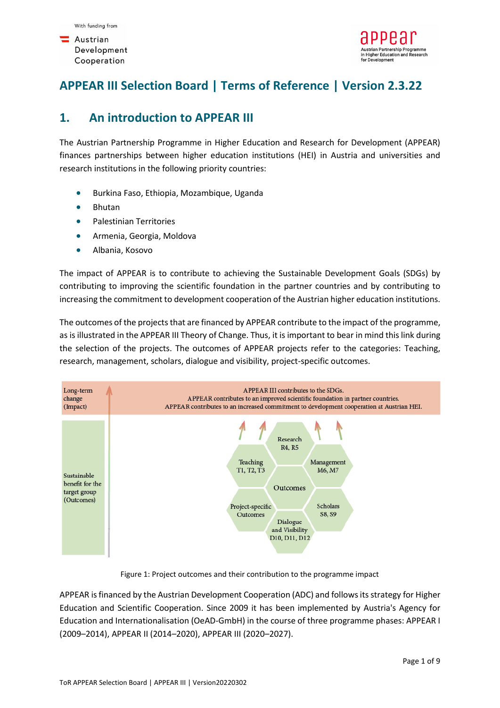

# **APPEAR III Selection Board | Terms of Reference | Version 2.3.22**

### **1. An introduction to APPEAR III**

The Austrian Partnership Programme in Higher Education and Research for Development (APPEAR) finances partnerships between higher education institutions (HEI) in Austria and universities and research institutions in the following priority countries:

- Burkina Faso, Ethiopia, Mozambique, Uganda
- Bhutan
- Palestinian Territories
- Armenia, Georgia, Moldova
- Albania, Kosovo

The impact of APPEAR is to contribute to achieving the Sustainable Development Goals (SDGs) by contributing to improving the scientific foundation in the partner countries and by contributing to increasing the commitment to development cooperation of the Austrian higher education institutions.

The outcomes of the projects that are financed by APPEAR contribute to the impact of the programme, as is illustrated in the APPEAR III Theory of Change. Thus, it is important to bear in mind this link during the selection of the projects. The outcomes of APPEAR projects refer to the categories: Teaching, research, management, scholars, dialogue and visibility, project-specific outcomes.



Figure 1: Project outcomes and their contribution to the programme impact

APPEAR is financed by the Austrian Development Cooperation (ADC) and follows its strategy for Higher Education and Scientific Cooperation. Since 2009 it has been implemented by Austria's Agency for Education and Internationalisation (OeAD-GmbH) in the course of three programme phases: APPEAR I (2009–2014), APPEAR II (2014–2020), APPEAR III (2020–2027).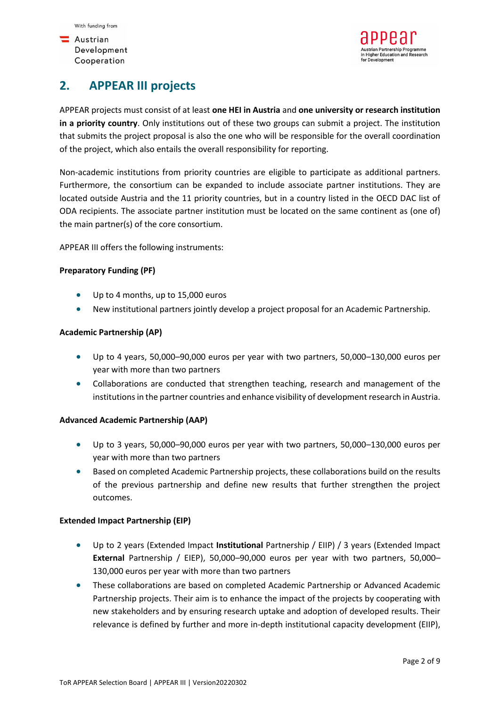$\blacksquare$  Austrian Development Cooperation

# **2. APPEAR III projects**

APPEAR projects must consist of at least **one HEI in Austria** and **one university or research institution in a priority country**. Only institutions out of these two groups can submit a project. The institution that submits the project proposal is also the one who will be responsible for the overall coordination of the project, which also entails the overall responsibility for reporting.

Non-academic institutions from priority countries are eligible to participate as additional partners. Furthermore, the consortium can be expanded to include associate partner institutions. They are located outside Austria and the 11 priority countries, but in a country listed in the OECD DAC list of ODA recipients. The associate partner institution must be located on the same continent as (one of) the main partner(s) of the core consortium.

APPEAR III offers the following instruments:

#### **Preparatory Funding (PF)**

- Up to 4 months, up to 15,000 euros
- New institutional partners jointly develop a project proposal for an Academic Partnership.

#### **Academic Partnership (AP)**

- Up to 4 years, 50,000–90,000 euros per year with two partners, 50,000–130,000 euros per year with more than two partners
- Collaborations are conducted that strengthen teaching, research and management of the institutions in the partner countries and enhance visibility of development research in Austria.

#### **Advanced Academic Partnership (AAP)**

- Up to 3 years, 50,000–90,000 euros per year with two partners, 50,000–130,000 euros per year with more than two partners
- Based on completed Academic Partnership projects, these collaborations build on the results of the previous partnership and define new results that further strengthen the project outcomes.

#### **Extended Impact Partnership (EIP)**

- Up to 2 years (Extended Impact **Institutional** Partnership / EIIP) / 3 years (Extended Impact **External** Partnership / EIEP), 50,000–90,000 euros per year with two partners, 50,000– 130,000 euros per year with more than two partners
- These collaborations are based on completed Academic Partnership or Advanced Academic Partnership projects. Their aim is to enhance the impact of the projects by cooperating with new stakeholders and by ensuring research uptake and adoption of developed results. Their relevance is defined by further and more in-depth institutional capacity development (EIIP),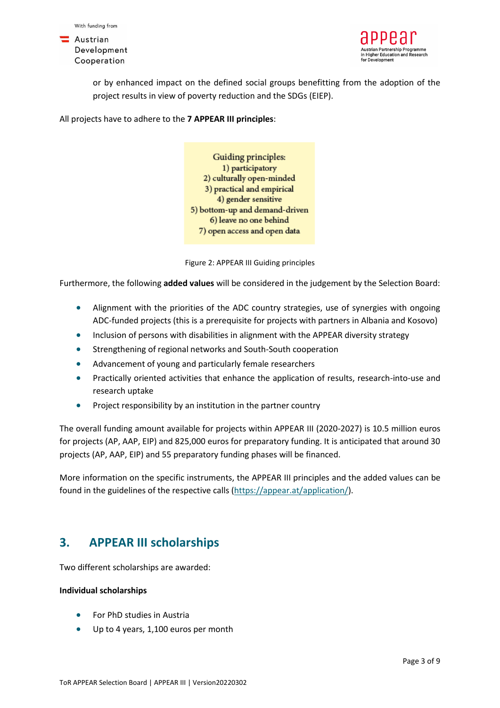



or by enhanced impact on the defined social groups benefitting from the adoption of the project results in view of poverty reduction and the SDGs (EIEP).

All projects have to adhere to the **7 APPEAR III principles**:

Guiding principles: 1) participatory 2) culturally open-minded 3) practical and empirical 4) gender sensitive 5) bottom-up and demand-driven 6) leave no one behind 7) open access and open data

Figure 2: APPEAR III Guiding principles

Furthermore, the following **added values** will be considered in the judgement by the Selection Board:

- Alignment with the priorities of the ADC country strategies, use of synergies with ongoing ADC-funded projects (this is a prerequisite for projects with partners in Albania and Kosovo)
- Inclusion of persons with disabilities in alignment with the APPEAR diversity strategy
- Strengthening of regional networks and South-South cooperation
- Advancement of young and particularly female researchers
- Practically oriented activities that enhance the application of results, research-into-use and research uptake
- Project responsibility by an institution in the partner country

The overall funding amount available for projects within APPEAR III (2020-2027) is 10.5 million euros for projects (AP, AAP, EIP) and 825,000 euros for preparatory funding. It is anticipated that around 30 projects (AP, AAP, EIP) and 55 preparatory funding phases will be financed.

More information on the specific instruments, the APPEAR III principles and the added values can be found in the guidelines of the respective calls [\(https://appear.at/application/\)](https://appear.at/application/).

### **3. APPEAR III scholarships**

Two different scholarships are awarded:

#### **Individual scholarships**

- For PhD studies in Austria
- Up to 4 years, 1,100 euros per month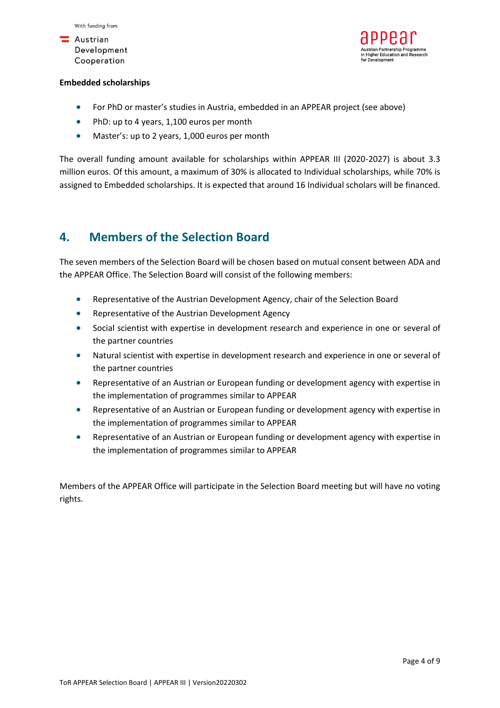



#### **Embedded scholarships**

- For PhD or master's studies in Austria, embedded in an APPEAR project (see above)
- PhD: up to 4 years, 1,100 euros per month
- Master's: up to 2 years, 1,000 euros per month

The overall funding amount available for scholarships within APPEAR III (2020-2027) is about 3.3 million euros. Of this amount, a maximum of 30% is allocated to Individual scholarships, while 70% is assigned to Embedded scholarships. It is expected that around 16 Individual scholars will be financed.

### **4. Members of the Selection Board**

The seven members of the Selection Board will be chosen based on mutual consent between ADA and the APPEAR Office. The Selection Board will consist of the following members:

- Representative of the Austrian Development Agency, chair of the Selection Board
- Representative of the Austrian Development Agency
- Social scientist with expertise in development research and experience in one or several of the partner countries
- Natural scientist with expertise in development research and experience in one or several of the partner countries
- Representative of an Austrian or European funding or development agency with expertise in the implementation of programmes similar to APPEAR
- Representative of an Austrian or European funding or development agency with expertise in the implementation of programmes similar to APPEAR
- Representative of an Austrian or European funding or development agency with expertise in the implementation of programmes similar to APPEAR

Members of the APPEAR Office will participate in the Selection Board meeting but will have no voting rights.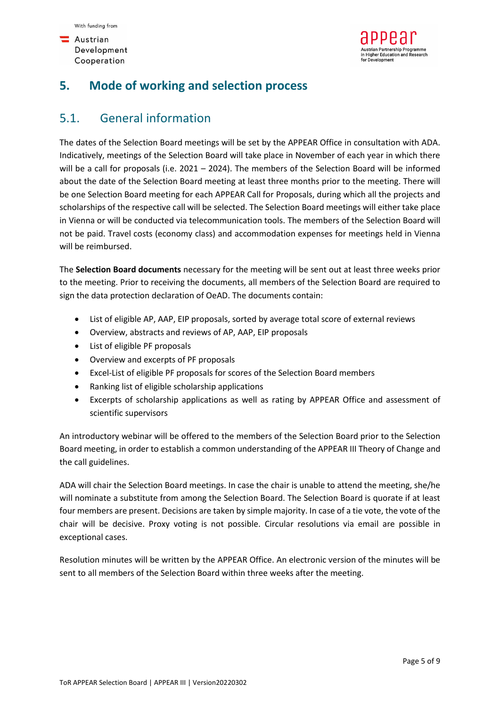$\blacksquare$  Austrian Development Cooperation



## **5. Mode of working and selection process**

## 5.1. General information

The dates of the Selection Board meetings will be set by the APPEAR Office in consultation with ADA. Indicatively, meetings of the Selection Board will take place in November of each year in which there will be a call for proposals (i.e. 2021 – 2024). The members of the Selection Board will be informed about the date of the Selection Board meeting at least three months prior to the meeting. There will be one Selection Board meeting for each APPEAR Call for Proposals, during which all the projects and scholarships of the respective call will be selected. The Selection Board meetings will either take place in Vienna or will be conducted via telecommunication tools. The members of the Selection Board will not be paid. Travel costs (economy class) and accommodation expenses for meetings held in Vienna will be reimbursed.

The **Selection Board documents** necessary for the meeting will be sent out at least three weeks prior to the meeting. Prior to receiving the documents, all members of the Selection Board are required to sign the data protection declaration of OeAD. The documents contain:

- List of eligible AP, AAP, EIP proposals, sorted by average total score of external reviews
- Overview, abstracts and reviews of AP, AAP, EIP proposals
- List of eligible PF proposals
- Overview and excerpts of PF proposals
- Excel-List of eligible PF proposals for scores of the Selection Board members
- Ranking list of eligible scholarship applications
- Excerpts of scholarship applications as well as rating by APPEAR Office and assessment of scientific supervisors

An introductory webinar will be offered to the members of the Selection Board prior to the Selection Board meeting, in order to establish a common understanding of the APPEAR III Theory of Change and the call guidelines.

ADA will chair the Selection Board meetings. In case the chair is unable to attend the meeting, she/he will nominate a substitute from among the Selection Board. The Selection Board is quorate if at least four members are present. Decisions are taken by simple majority. In case of a tie vote, the vote of the chair will be decisive. Proxy voting is not possible. Circular resolutions via email are possible in exceptional cases.

Resolution minutes will be written by the APPEAR Office. An electronic version of the minutes will be sent to all members of the Selection Board within three weeks after the meeting.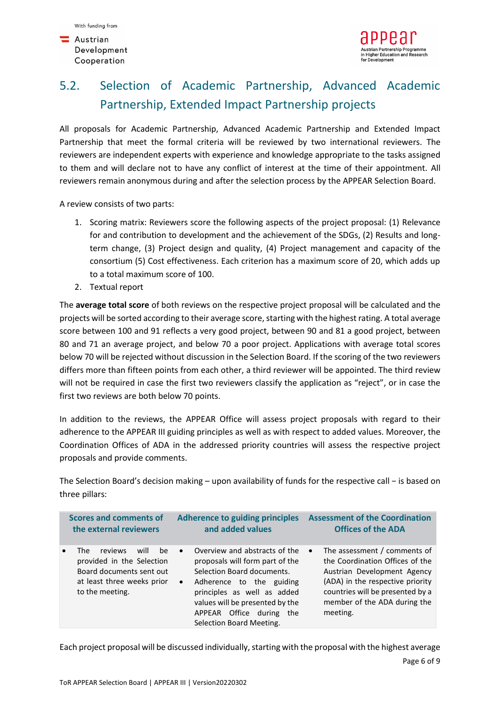$\blacksquare$  Austrian Development Cooperation



# 5.2. Selection of Academic Partnership, Advanced Academic Partnership, Extended Impact Partnership projects

All proposals for Academic Partnership, Advanced Academic Partnership and Extended Impact Partnership that meet the formal criteria will be reviewed by two international reviewers. The reviewers are independent experts with experience and knowledge appropriate to the tasks assigned to them and will declare not to have any conflict of interest at the time of their appointment. All reviewers remain anonymous during and after the selection process by the APPEAR Selection Board.

A review consists of two parts:

- 1. Scoring matrix: Reviewers score the following aspects of the project proposal: (1) Relevance for and contribution to development and the achievement of the SDGs, (2) Results and longterm change, (3) Project design and quality, (4) Project management and capacity of the consortium (5) Cost effectiveness. Each criterion has a maximum score of 20, which adds up to a total maximum score of 100.
- 2. Textual report

The **average total score** of both reviews on the respective project proposal will be calculated and the projects will be sorted according to their average score, starting with the highest rating. A total average score between 100 and 91 reflects a very good project, between 90 and 81 a good project, between 80 and 71 an average project, and below 70 a poor project. Applications with average total scores below 70 will be rejected without discussion in the Selection Board. If the scoring of the two reviewers differs more than fifteen points from each other, a third reviewer will be appointed. The third review will not be required in case the first two reviewers classify the application as "reject", or in case the first two reviews are both below 70 points.

In addition to the reviews, the APPEAR Office will assess project proposals with regard to their adherence to the APPEAR III guiding principles as well as with respect to added values. Moreover, the Coordination Offices of ADA in the addressed priority countries will assess the respective project proposals and provide comments.

The Selection Board's decision making – upon availability of funds for the respective call − is based on three pillars:

| <b>Scores and comments of</b>                                                                                                          | <b>Adherence to guiding principles</b>                                                                                                                                                                                                                                            | <b>Assessment of the Coordination</b>                                                                                                                                                                                           |
|----------------------------------------------------------------------------------------------------------------------------------------|-----------------------------------------------------------------------------------------------------------------------------------------------------------------------------------------------------------------------------------------------------------------------------------|---------------------------------------------------------------------------------------------------------------------------------------------------------------------------------------------------------------------------------|
| the external reviewers                                                                                                                 | and added values                                                                                                                                                                                                                                                                  | <b>Offices of the ADA</b>                                                                                                                                                                                                       |
| reviews<br>will<br>be<br>The<br>provided in the Selection<br>Board documents sent out<br>at least three weeks prior<br>to the meeting. | Overview and abstracts of the<br>$\bullet$<br>proposals will form part of the<br>Selection Board documents.<br>Adherence to the guiding<br>$\bullet$<br>principles as well as added<br>values will be presented by the<br>APPEAR Office during<br>the<br>Selection Board Meeting. | The assessment / comments of<br>$\bullet$<br>the Coordination Offices of the<br>Austrian Development Agency<br>(ADA) in the respective priority<br>countries will be presented by a<br>member of the ADA during the<br>meeting. |

Each project proposal will be discussed individually, starting with the proposal with the highest average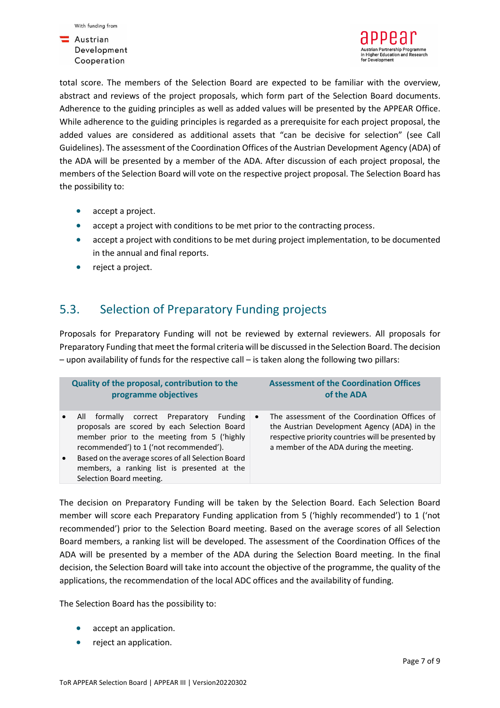



total score. The members of the Selection Board are expected to be familiar with the overview, abstract and reviews of the project proposals, which form part of the Selection Board documents. Adherence to the guiding principles as well as added values will be presented by the APPEAR Office. While adherence to the guiding principles is regarded as a prerequisite for each project proposal, the added values are considered as additional assets that "can be decisive for selection" (see Call Guidelines). The assessment of the Coordination Offices of the Austrian Development Agency (ADA) of the ADA will be presented by a member of the ADA. After discussion of each project proposal, the members of the Selection Board will vote on the respective project proposal. The Selection Board has the possibility to:

- accept a project.
- accept a project with conditions to be met prior to the contracting process.
- accept a project with conditions to be met during project implementation, to be documented in the annual and final reports.
- reject a project.

### 5.3. Selection of Preparatory Funding projects

Proposals for Preparatory Funding will not be reviewed by external reviewers. All proposals for Preparatory Funding that meet the formal criteria will be discussed in the Selection Board. The decision – upon availability of funds for the respective call – is taken along the following two pillars:

| Quality of the proposal, contribution to the                                                                                                                                                                                                                                                                                   | <b>Assessment of the Coordination Offices</b>                                                                                                                                                                          |
|--------------------------------------------------------------------------------------------------------------------------------------------------------------------------------------------------------------------------------------------------------------------------------------------------------------------------------|------------------------------------------------------------------------------------------------------------------------------------------------------------------------------------------------------------------------|
| programme objectives                                                                                                                                                                                                                                                                                                           | of the ADA                                                                                                                                                                                                             |
| correct Preparatory<br>formally<br>All<br>proposals are scored by each Selection Board<br>member prior to the meeting from 5 ('highly<br>recommended') to 1 ('not recommended').<br>Based on the average scores of all Selection Board<br>$\bullet$<br>members, a ranking list is presented at the<br>Selection Board meeting. | The assessment of the Coordination Offices of<br>Funding<br>$\bullet$<br>the Austrian Development Agency (ADA) in the<br>respective priority countries will be presented by<br>a member of the ADA during the meeting. |

The decision on Preparatory Funding will be taken by the Selection Board. Each Selection Board member will score each Preparatory Funding application from 5 ('highly recommended') to 1 ('not recommended') prior to the Selection Board meeting. Based on the average scores of all Selection Board members, a ranking list will be developed. The assessment of the Coordination Offices of the ADA will be presented by a member of the ADA during the Selection Board meeting. In the final decision, the Selection Board will take into account the objective of the programme, the quality of the applications, the recommendation of the local ADC offices and the availability of funding.

The Selection Board has the possibility to:

- accept an application.
- reject an application.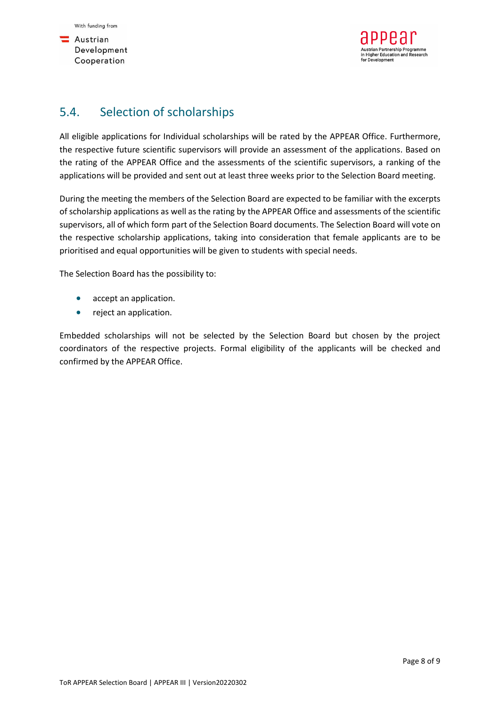

### 5.4. Selection of scholarships

All eligible applications for Individual scholarships will be rated by the APPEAR Office. Furthermore, the respective future scientific supervisors will provide an assessment of the applications. Based on the rating of the APPEAR Office and the assessments of the scientific supervisors, a ranking of the applications will be provided and sent out at least three weeks prior to the Selection Board meeting.

During the meeting the members of the Selection Board are expected to be familiar with the excerpts of scholarship applications as well as the rating by the APPEAR Office and assessments of the scientific supervisors, all of which form part of the Selection Board documents. The Selection Board will vote on the respective scholarship applications, taking into consideration that female applicants are to be prioritised and equal opportunities will be given to students with special needs.

The Selection Board has the possibility to:

- accept an application.
- reject an application.

Embedded scholarships will not be selected by the Selection Board but chosen by the project coordinators of the respective projects. Formal eligibility of the applicants will be checked and confirmed by the APPEAR Office.